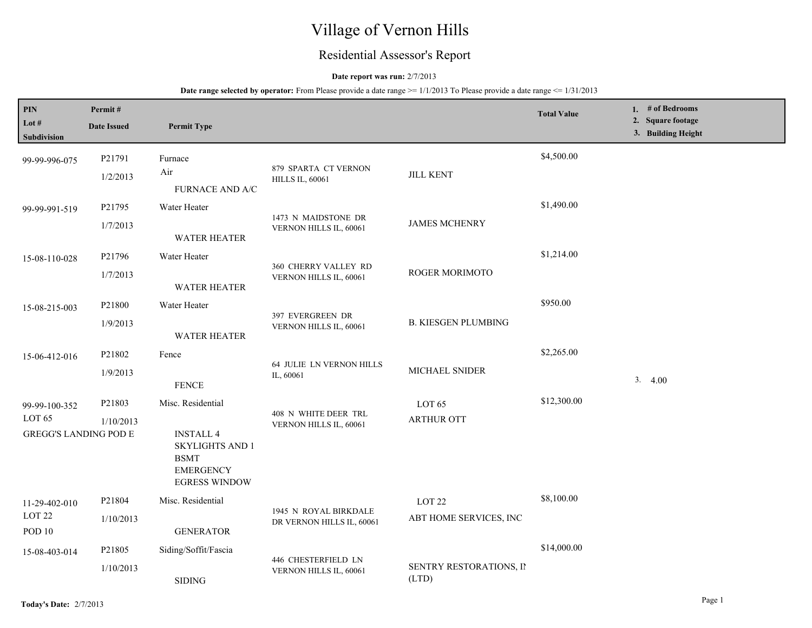# Village of Vernon Hills

# Residential Assessor's Report

### **Date report was run:** 2/7/2013

**Date range selected by operator:** From Please provide a date range  $\ge$ = 1/1/2013 To Please provide a date range  $\le$  1/31/2013

| PIN                                                                | Permit#             |                                                                                                                            |                                                    |                                             | <b>Total Value</b> | 1. $#$ of Bedrooms<br>2. Square footage |
|--------------------------------------------------------------------|---------------------|----------------------------------------------------------------------------------------------------------------------------|----------------------------------------------------|---------------------------------------------|--------------------|-----------------------------------------|
| Lot $#$<br>Subdivision                                             | <b>Date Issued</b>  | <b>Permit Type</b>                                                                                                         |                                                    |                                             |                    | 3. Building Height                      |
| 99-99-996-075                                                      | P21791<br>1/2/2013  | Furnace<br>Air<br>FURNACE AND A/C                                                                                          | 879 SPARTA CT VERNON<br><b>HILLS IL, 60061</b>     | <b>JILL KENT</b>                            | \$4,500.00         |                                         |
| 99-99-991-519                                                      | P21795<br>1/7/2013  | Water Heater<br><b>WATER HEATER</b>                                                                                        | 1473 N MAIDSTONE DR<br>VERNON HILLS IL, 60061      | <b>JAMES MCHENRY</b>                        | \$1,490.00         |                                         |
| 15-08-110-028                                                      | P21796<br>1/7/2013  | Water Heater<br><b>WATER HEATER</b>                                                                                        | 360 CHERRY VALLEY RD<br>VERNON HILLS IL, 60061     | ROGER MORIMOTO                              | \$1,214.00         |                                         |
| 15-08-215-003                                                      | P21800<br>1/9/2013  | Water Heater<br><b>WATER HEATER</b>                                                                                        | 397 EVERGREEN DR<br>VERNON HILLS IL, 60061         | <b>B. KIESGEN PLUMBING</b>                  | \$950.00           |                                         |
| 15-06-412-016                                                      | P21802<br>1/9/2013  | Fence<br><b>FENCE</b>                                                                                                      | 64 JULIE LN VERNON HILLS<br>IL, 60061              | MICHAEL SNIDER                              | \$2,265.00         | 3.4.00                                  |
| 99-99-100-352<br>LOT <sub>65</sub><br><b>GREGG'S LANDING POD E</b> | P21803<br>1/10/2013 | Misc. Residential<br><b>INSTALL 4</b><br><b>SKYLIGHTS AND 1</b><br><b>BSMT</b><br><b>EMERGENCY</b><br><b>EGRESS WINDOW</b> | 408 N WHITE DEER TRL<br>VERNON HILLS IL, 60061     | LOT 65<br><b>ARTHUR OTT</b>                 | \$12,300.00        |                                         |
| 11-29-402-010<br>LOT <sub>22</sub><br><b>POD 10</b>                | P21804<br>1/10/2013 | Misc. Residential<br><b>GENERATOR</b>                                                                                      | 1945 N ROYAL BIRKDALE<br>DR VERNON HILLS IL, 60061 | LOT <sub>22</sub><br>ABT HOME SERVICES, INC | \$8,100.00         |                                         |
| 15-08-403-014                                                      | P21805<br>1/10/2013 | Siding/Soffit/Fascia<br><b>SIDING</b>                                                                                      | 446 CHESTERFIELD LN<br>VERNON HILLS IL, 60061      | SENTRY RESTORATIONS, II<br>(LTD)            | \$14,000.00        |                                         |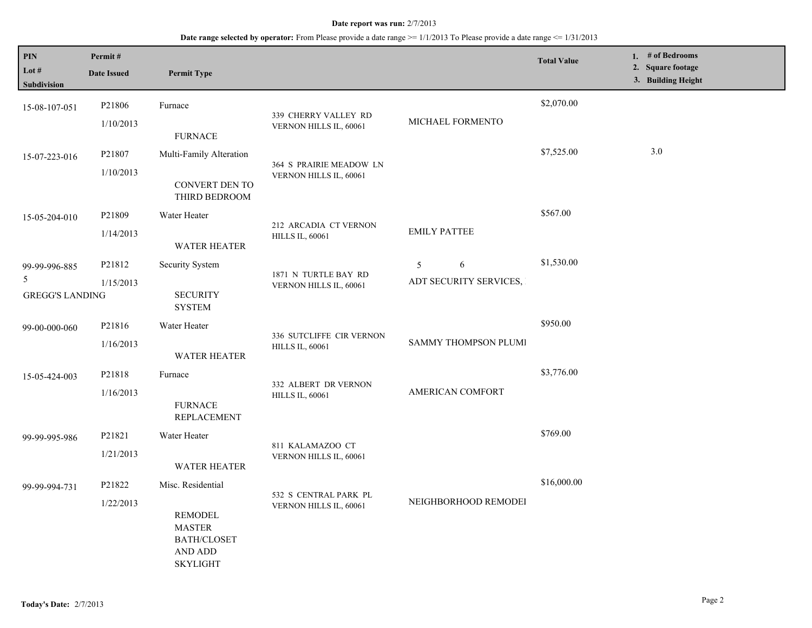#### **Date report was run:** 2/7/2013

## **Date range selected by operator:** From Please provide a date range >= 1/1/2013 To Please provide a date range <= 1/31/2013

| <b>PIN</b><br>Lot $#$<br>Subdivision         | Permit#<br><b>Date Issued</b> | <b>Permit Type</b>                                                                                       |                                                    |                                  | <b>Total Value</b> | 1. # of Bedrooms<br>2. Square footage<br>3. Building Height |
|----------------------------------------------|-------------------------------|----------------------------------------------------------------------------------------------------------|----------------------------------------------------|----------------------------------|--------------------|-------------------------------------------------------------|
| 15-08-107-051                                | P21806<br>1/10/2013           | Furnace<br><b>FURNACE</b>                                                                                | 339 CHERRY VALLEY RD<br>VERNON HILLS IL, 60061     | MICHAEL FORMENTO                 | \$2,070.00         |                                                             |
| 15-07-223-016                                | P21807<br>1/10/2013           | Multi-Family Alteration<br>CONVERT DEN TO<br>THIRD BEDROOM                                               | 364 S PRAIRIE MEADOW LN<br>VERNON HILLS IL, 60061  |                                  | \$7,525.00         | 3.0                                                         |
| 15-05-204-010                                | P21809<br>1/14/2013           | Water Heater<br><b>WATER HEATER</b>                                                                      | 212 ARCADIA CT VERNON<br><b>HILLS IL, 60061</b>    | <b>EMILY PATTEE</b>              | \$567.00           |                                                             |
| 99-99-996-885<br>5<br><b>GREGG'S LANDING</b> | P21812<br>1/15/2013           | Security System<br><b>SECURITY</b><br><b>SYSTEM</b>                                                      | 1871 N TURTLE BAY RD<br>VERNON HILLS IL, 60061     | 6<br>5<br>ADT SECURITY SERVICES, | \$1,530.00         |                                                             |
| 99-00-000-060                                | P21816<br>1/16/2013           | Water Heater<br><b>WATER HEATER</b>                                                                      | 336 SUTCLIFFE CIR VERNON<br><b>HILLS IL, 60061</b> | SAMMY THOMPSON PLUMI             | \$950.00           |                                                             |
| 15-05-424-003                                | P21818<br>1/16/2013           | Furnace<br><b>FURNACE</b><br><b>REPLACEMENT</b>                                                          | 332 ALBERT DR VERNON<br><b>HILLS IL, 60061</b>     | AMERICAN COMFORT                 | \$3,776.00         |                                                             |
| 99-99-995-986                                | P21821<br>1/21/2013           | Water Heater<br><b>WATER HEATER</b>                                                                      | 811 KALAMAZOO CT<br>VERNON HILLS IL, 60061         |                                  | \$769.00           |                                                             |
| 99-99-994-731                                | P21822<br>1/22/2013           | Misc. Residential<br>REMODEL<br><b>MASTER</b><br><b>BATH/CLOSET</b><br><b>AND ADD</b><br><b>SKYLIGHT</b> | 532 S CENTRAL PARK PL<br>VERNON HILLS IL, 60061    | NEIGHBORHOOD REMODEI             | \$16,000.00        |                                                             |